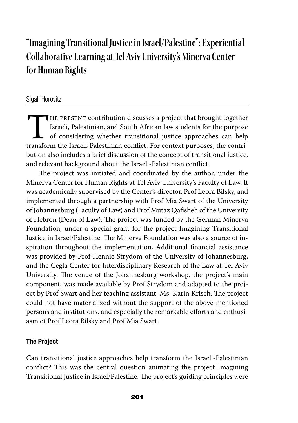# **"Imagining Transitional Justice in Israel/Palestine": Experiential Collaborative Learning at Tel Aviv University's Minerva Center for Human Rights**

# Sigall Horovitz

THE PRESENT contribution discusses a project that brought together<br>
Israeli, Palestinian, and South African law students for the purpose<br>
of considering whether transitional justice approaches can help<br>
transform the Israe Israeli, Palestinian, and South African law students for the purpose of considering whether transitional justice approaches can help bution also includes a brief discussion of the concept of transitional justice, and relevant background about the Israeli-Palestinian conflict.

The project was initiated and coordinated by the author, under the Minerva Center for Human Rights at Tel Aviv University's Faculty of Law. It was academically supervised by the Center's director, Prof Leora Bilsky, and implemented through a partnership with Prof Mia Swart of the University of Johannesburg (Faculty of Law) and Prof Mutaz Qafisheh of the University of Hebron (Dean of Law). The project was funded by the German Minerva Foundation, under a special grant for the project Imagining Transitional Justice in Israel/Palestine. The Minerva Foundation was also a source of inspiration throughout the implementation. Additional financial assistance was provided by Prof Hennie Strydom of the University of Johannesburg, and the Cegla Center for Interdisciplinary Research of the Law at Tel Aviv University. The venue of the Johannesburg workshop, the project's main component, was made available by Prof Strydom and adapted to the project by Prof Swart and her teaching assistant, Ms. Karin Krisch. The project could not have materialized without the support of the above-mentioned persons and institutions, and especially the remarkable efforts and enthusiasm of Prof Leora Bilsky and Prof Mia Swart.

## The Project

Can transitional justice approaches help transform the Israeli-Palestinian conflict? This was the central question animating the project Imagining Transitional Justice in Israel/Palestine. The project's guiding principles were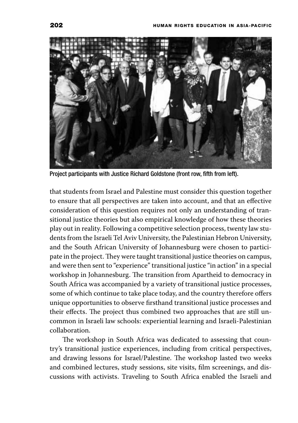

Project participants with Justice Richard Goldstone (front row, fifth from left).

that students from Israel and Palestine must consider this question together to ensure that all perspectives are taken into account, and that an effective consideration of this question requires not only an understanding of transitional justice theories but also empirical knowledge of how these theories play out in reality. Following a competitive selection process, twenty law students from the Israeli Tel Aviv University, the Palestinian Hebron University, and the South African University of Johannesburg were chosen to participate in the project. They were taught transitional justice theories on campus, and were then sent to "experience" transitional justice "in action" in a special workshop in Johannesburg. The transition from Apartheid to democracy in South Africa was accompanied by a variety of transitional justice processes, some of which continue to take place today, and the country therefore offers unique opportunities to observe firsthand transitional justice processes and their effects. The project thus combined two approaches that are still uncommon in Israeli law schools: experiential learning and Israeli-Palestinian collaboration.

The workshop in South Africa was dedicated to assessing that country's transitional justice experiences, including from critical perspectives, and drawing lessons for Israel/Palestine. The workshop lasted two weeks and combined lectures, study sessions, site visits, film screenings, and discussions with activists. Traveling to South Africa enabled the Israeli and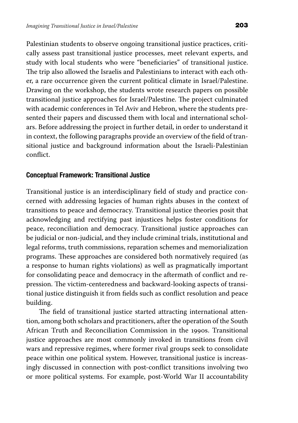Palestinian students to observe ongoing transitional justice practices, critically assess past transitional justice processes, meet relevant experts, and study with local students who were "beneficiaries" of transitional justice. The trip also allowed the Israelis and Palestinians to interact with each other, a rare occurrence given the current political climate in Israel/Palestine. Drawing on the workshop, the students wrote research papers on possible transitional justice approaches for Israel/Palestine. The project culminated with academic conferences in Tel Aviv and Hebron, where the students presented their papers and discussed them with local and international scholars. Before addressing the project in further detail, in order to understand it in context, the following paragraphs provide an overview of the field of transitional justice and background information about the Israeli-Palestinian conflict.

## Conceptual Framework: Transitional Justice

Transitional justice is an interdisciplinary field of study and practice concerned with addressing legacies of human rights abuses in the context of transitions to peace and democracy. Transitional justice theories posit that acknowledging and rectifying past injustices helps foster conditions for peace, reconciliation and democracy. Transitional justice approaches can be judicial or non-judicial, and they include criminal trials, institutional and legal reforms, truth commissions, reparation schemes and memorialization programs. These approaches are considered both normatively required (as a response to human rights violations) as well as pragmatically important for consolidating peace and democracy in the aftermath of conflict and repression. The victim-centeredness and backward-looking aspects of transitional justice distinguish it from fields such as conflict resolution and peace building.

The field of transitional justice started attracting international attention, among both scholars and practitioners, after the operation of the South African Truth and Reconciliation Commission in the 1990s. Transitional justice approaches are most commonly invoked in transitions from civil wars and repressive regimes, where former rival groups seek to consolidate peace within one political system. However, transitional justice is increasingly discussed in connection with post-conflict transitions involving two or more political systems. For example, post-World War II accountability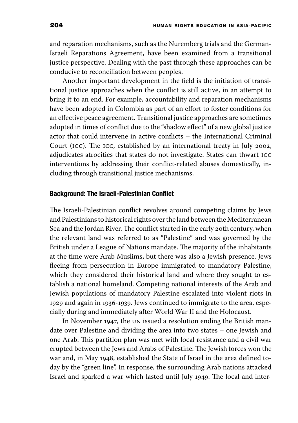and reparation mechanisms, such as the Nuremberg trials and the German-Israeli Reparations Agreement, have been examined from a transitional justice perspective. Dealing with the past through these approaches can be conducive to reconciliation between peoples.

Another important development in the field is the initiation of transitional justice approaches when the conflict is still active, in an attempt to bring it to an end. For example, accountability and reparation mechanisms have been adopted in Colombia as part of an effort to foster conditions for an effective peace agreement. Transitional justice approaches are sometimes adopted in times of conflict due to the "shadow effect" of a new global justice actor that could intervene in active conflicts – the International Criminal Court (icc). The icc, established by an international treaty in July 2002, adjudicates atrocities that states do not investigate. States can thwart icc interventions by addressing their conflict-related abuses domestically, including through transitional justice mechanisms.

## Background: The Israeli-Palestinian Conflict

The Israeli-Palestinian conflict revolves around competing claims by Jews and Palestinians to historical rights over the land between the Mediterranean Sea and the Jordan River. The conflict started in the early 20th century, when the relevant land was referred to as "Palestine" and was governed by the British under a League of Nations mandate. The majority of the inhabitants at the time were Arab Muslims, but there was also a Jewish presence. Jews fleeing from persecution in Europe immigrated to mandatory Palestine, which they considered their historical land and where they sought to establish a national homeland. Competing national interests of the Arab and Jewish populations of mandatory Palestine escalated into violent riots in 1929 and again in 1936-1939. Jews continued to immigrate to the area, especially during and immediately after World War II and the Holocaust.

In November 1947, the un issued a resolution ending the British mandate over Palestine and dividing the area into two states – one Jewish and one Arab. This partition plan was met with local resistance and a civil war erupted between the Jews and Arabs of Palestine. The Jewish forces won the war and, in May 1948, established the State of Israel in the area defined today by the "green line". In response, the surrounding Arab nations attacked Israel and sparked a war which lasted until July 1949. The local and inter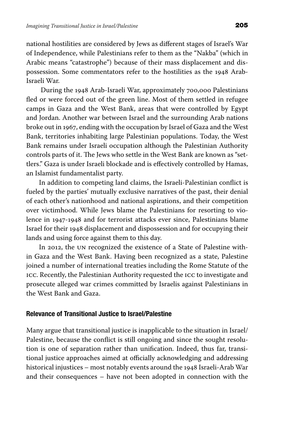national hostilities are considered by Jews as different stages of Israel's War of Independence, while Palestinians refer to them as the "Nakba" (which in Arabic means "catastrophe") because of their mass displacement and dispossession. Some commentators refer to the hostilities as the 1948 Arab-Israeli War.

 During the 1948 Arab-Israeli War, approximately 700,000 Palestinians fled or were forced out of the green line. Most of them settled in refugee camps in Gaza and the West Bank, areas that were controlled by Egypt and Jordan. Another war between Israel and the surrounding Arab nations broke out in 1967, ending with the occupation by Israel of Gaza and the West Bank, territories inhabiting large Palestinian populations. Today, the West Bank remains under Israeli occupation although the Palestinian Authority controls parts of it. The Jews who settle in the West Bank are known as "settlers." Gaza is under Israeli blockade and is effectively controlled by Hamas, an Islamist fundamentalist party.

In addition to competing land claims, the Israeli-Palestinian conflict is fueled by the parties' mutually exclusive narratives of the past, their denial of each other's nationhood and national aspirations, and their competition over victimhood. While Jews blame the Palestinians for resorting to violence in 1947-1948 and for terrorist attacks ever since, Palestinians blame Israel for their 1948 displacement and dispossession and for occupying their lands and using force against them to this day.

In 2012, the un recognized the existence of a State of Palestine within Gaza and the West Bank. Having been recognized as a state, Palestine joined a number of international treaties including the Rome Statute of the icc. Recently, the Palestinian Authority requested the icc to investigate and prosecute alleged war crimes committed by Israelis against Palestinians in the West Bank and Gaza.

## Relevance of Transitional Justice to Israel/Palestine

Many argue that transitional justice is inapplicable to the situation in Israel/ Palestine, because the conflict is still ongoing and since the sought resolution is one of separation rather than unification. Indeed, thus far, transitional justice approaches aimed at officially acknowledging and addressing historical injustices – most notably events around the 1948 Israeli-Arab War and their consequences – have not been adopted in connection with the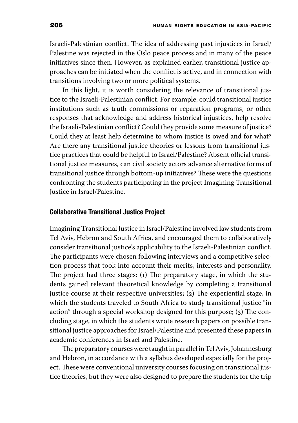Israeli-Palestinian conflict. The idea of addressing past injustices in Israel/ Palestine was rejected in the Oslo peace process and in many of the peace initiatives since then. However, as explained earlier, transitional justice approaches can be initiated when the conflict is active, and in connection with transitions involving two or more political systems.

In this light, it is worth considering the relevance of transitional justice to the Israeli-Palestinian conflict. For example, could transitional justice institutions such as truth commissions or reparation programs, or other responses that acknowledge and address historical injustices, help resolve the Israeli-Palestinian conflict? Could they provide some measure of justice? Could they at least help determine to whom justice is owed and for what? Are there any transitional justice theories or lessons from transitional justice practices that could be helpful to Israel/Palestine? Absent official transitional justice measures, can civil society actors advance alternative forms of transitional justice through bottom-up initiatives? These were the questions confronting the students participating in the project Imagining Transitional Justice in Israel/Palestine.

#### Collaborative Transitional Justice Project

Imagining Transitional Justice in Israel/Palestine involved law students from Tel Aviv, Hebron and South Africa, and encouraged them to collaboratively consider transitional justice's applicability to the Israeli-Palestinian conflict. The participants were chosen following interviews and a competitive selection process that took into account their merits, interests and personality. The project had three stages: (1) The preparatory stage, in which the students gained relevant theoretical knowledge by completing a transitional justice course at their respective universities; (2) The experiential stage, in which the students traveled to South Africa to study transitional justice "in action" through a special workshop designed for this purpose; (3) The concluding stage, in which the students wrote research papers on possible transitional justice approaches for Israel/Palestine and presented these papers in academic conferences in Israel and Palestine.

The preparatory courses were taught in parallel in Tel Aviv, Johannesburg and Hebron, in accordance with a syllabus developed especially for the project. These were conventional university courses focusing on transitional justice theories, but they were also designed to prepare the students for the trip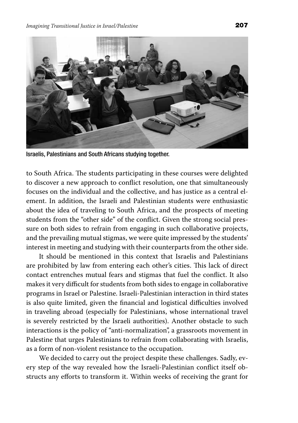

Israelis, Palestinians and South Africans studying together.

to South Africa. The students participating in these courses were delighted to discover a new approach to conflict resolution, one that simultaneously focuses on the individual and the collective, and has justice as a central element. In addition, the Israeli and Palestinian students were enthusiastic about the idea of traveling to South Africa, and the prospects of meeting students from the "other side" of the conflict. Given the strong social pressure on both sides to refrain from engaging in such collaborative projects, and the prevailing mutual stigmas, we were quite impressed by the students' interest in meeting and studying with their counterparts from the other side.

It should be mentioned in this context that Israelis and Palestinians are prohibited by law from entering each other's cities. This lack of direct contact entrenches mutual fears and stigmas that fuel the conflict. It also makes it very difficult for students from both sides to engage in collaborative programs in Israel or Palestine. Israeli-Palestinian interaction in third states is also quite limited, given the financial and logistical difficulties involved in traveling abroad (especially for Palestinians, whose international travel is severely restricted by the Israeli authorities). Another obstacle to such interactions is the policy of "anti-normalization", a grassroots movement in Palestine that urges Palestinians to refrain from collaborating with Israelis, as a form of non-violent resistance to the occupation.

We decided to carry out the project despite these challenges. Sadly, every step of the way revealed how the Israeli-Palestinian conflict itself obstructs any efforts to transform it. Within weeks of receiving the grant for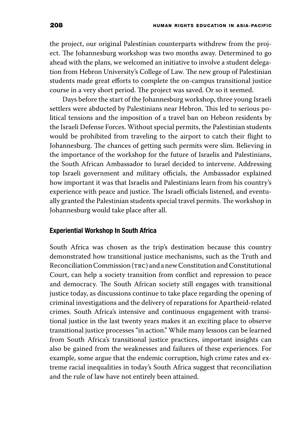the project, our original Palestinian counterparts withdrew from the project. The Johannesburg workshop was two months away. Determined to go ahead with the plans, we welcomed an initiative to involve a student delegation from Hebron University's College of Law. The new group of Palestinian students made great efforts to complete the on-campus transitional justice course in a very short period. The project was saved. Or so it seemed.

Days before the start of the Johannesburg workshop, three young Israeli settlers were abducted by Palestinians near Hebron. This led to serious political tensions and the imposition of a travel ban on Hebron residents by the Israeli Defense Forces. Without special permits, the Palestinian students would be prohibited from traveling to the airport to catch their flight to Johannesburg. The chances of getting such permits were slim. Believing in the importance of the workshop for the future of Israelis and Palestinians, the South African Ambassador to Israel decided to intervene. Addressing top Israeli government and military officials, the Ambassador explained how important it was that Israelis and Palestinians learn from his country's experience with peace and justice. The Israeli officials listened, and eventually granted the Palestinian students special travel permits. The workshop in Johannesburg would take place after all.

#### Experiential Workshop In South Africa

South Africa was chosen as the trip's destination because this country demonstrated how transitional justice mechanisms, such as the Truth and Reconciliation Commission (trc) and a new Constitution and Constitutional Court, can help a society transition from conflict and repression to peace and democracy. The South African society still engages with transitional justice today, as discussions continue to take place regarding the opening of criminal investigations and the delivery of reparations for Apartheid-related crimes. South Africa's intensive and continuous engagement with transitional justice in the last twenty years makes it an exciting place to observe transitional justice processes "in action." While many lessons can be learned from South Africa's transitional justice practices, important insights can also be gained from the weaknesses and failures of these experiences. For example, some argue that the endemic corruption, high crime rates and extreme racial inequalities in today's South Africa suggest that reconciliation and the rule of law have not entirely been attained.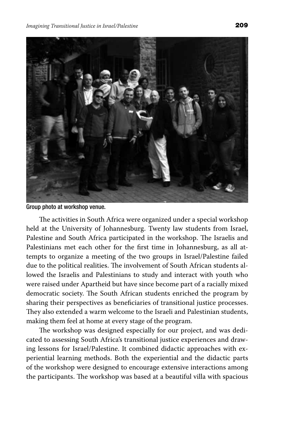

Group photo at workshop venue.

The activities in South Africa were organized under a special workshop held at the University of Johannesburg. Twenty law students from Israel, Palestine and South Africa participated in the workshop. The Israelis and Palestinians met each other for the first time in Johannesburg, as all attempts to organize a meeting of the two groups in Israel/Palestine failed due to the political realities. The involvement of South African students allowed the Israelis and Palestinians to study and interact with youth who were raised under Apartheid but have since become part of a racially mixed democratic society. The South African students enriched the program by sharing their perspectives as beneficiaries of transitional justice processes. They also extended a warm welcome to the Israeli and Palestinian students, making them feel at home at every stage of the program.

The workshop was designed especially for our project, and was dedicated to assessing South Africa's transitional justice experiences and drawing lessons for Israel/Palestine. It combined didactic approaches with experiential learning methods. Both the experiential and the didactic parts of the workshop were designed to encourage extensive interactions among the participants. The workshop was based at a beautiful villa with spacious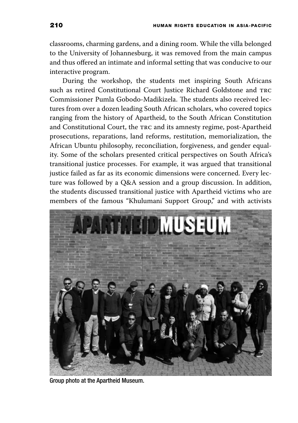classrooms, charming gardens, and a dining room. While the villa belonged to the University of Johannesburg, it was removed from the main campus and thus offered an intimate and informal setting that was conducive to our interactive program.

During the workshop, the students met inspiring South Africans such as retired Constitutional Court Justice Richard Goldstone and TRC Commissioner Pumla Gobodo-Madikizela. The students also received lectures from over a dozen leading South African scholars, who covered topics ranging from the history of Apartheid, to the South African Constitution and Constitutional Court, the TRC and its amnesty regime, post-Apartheid prosecutions, reparations, land reforms, restitution, memorialization, the African Ubuntu philosophy, reconciliation, forgiveness, and gender equality. Some of the scholars presented critical perspectives on South Africa's transitional justice processes. For example, it was argued that transitional justice failed as far as its economic dimensions were concerned. Every lecture was followed by a Q&A session and a group discussion. In addition, the students discussed transitional justice with Apartheid victims who are members of the famous "Khulumani Support Group," and with activists



Group photo at the Apartheid Museum.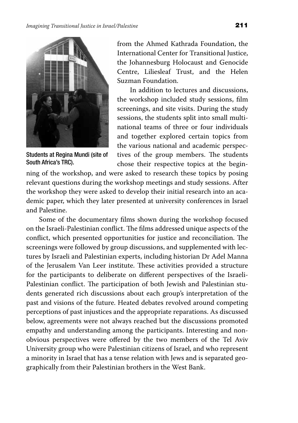

Students at Regina Mundi (site of South Africa's TRC).

from the Ahmed Kathrada Foundation, the International Center for Transitional Justice, the Johannesburg Holocaust and Genocide Centre, Liliesleaf Trust, and the Helen Suzman Foundation.

In addition to lectures and discussions, the workshop included study sessions, film screenings, and site visits. During the study sessions, the students split into small multinational teams of three or four individuals and together explored certain topics from the various national and academic perspectives of the group members. The students chose their respective topics at the begin-

ning of the workshop, and were asked to research these topics by posing relevant questions during the workshop meetings and study sessions. After the workshop they were asked to develop their initial research into an academic paper, which they later presented at university conferences in Israel and Palestine.

Some of the documentary films shown during the workshop focused on the Israeli-Palestinian conflict. The films addressed unique aspects of the conflict, which presented opportunities for justice and reconciliation. The screenings were followed by group discussions, and supplemented with lectures by Israeli and Palestinian experts, including historian Dr Adel Manna of the Jerusalem Van Leer institute. These activities provided a structure for the participants to deliberate on different perspectives of the Israeli-Palestinian conflict. The participation of both Jewish and Palestinian students generated rich discussions about each group's interpretation of the past and visions of the future. Heated debates revolved around competing perceptions of past injustices and the appropriate reparations. As discussed below, agreements were not always reached but the discussions promoted empathy and understanding among the participants. Interesting and nonobvious perspectives were offered by the two members of the Tel Aviv University group who were Palestinian citizens of Israel, and who represent a minority in Israel that has a tense relation with Jews and is separated geographically from their Palestinian brothers in the West Bank.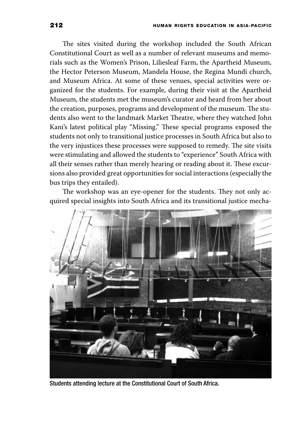The sites visited during the workshop included the South African Constitutional Court as well as a number of relevant museums and memorials such as the Women's Prison, Liliesleaf Farm, the Apartheid Museum, the Hector Peterson Museum, Mandela House, the Regina Mundi church, and Museum Africa. At some of these venues, special activities were organized for the students. For example, during their visit at the Apartheid Museum, the students met the museum's curator and heard from her about the creation, purposes, programs and development of the museum. The students also went to the landmark Market Theatre, where they watched John Kani's latest political play "Missing." These special programs exposed the students not only to transitional justice processes in South Africa but also to the very injustices these processes were supposed to remedy. The site visits were stimulating and allowed the students to "experience" South Africa with all their senses rather than merely hearing or reading about it. These excursions also provided great opportunities for social interactions (especially the bus trips they entailed).

The workshop was an eye-opener for the students. They not only acquired special insights into South Africa and its transitional justice mecha-



Students attending lecture at the Constitutional Court of South Africa.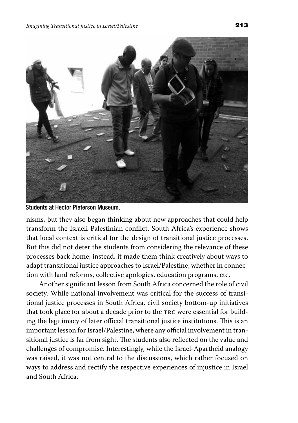

Students at Hector Pieterson Museum.

nisms, but they also began thinking about new approaches that could help transform the Israeli-Palestinian conflict. South Africa's experience shows that local context is critical for the design of transitional justice processes. But this did not deter the students from considering the relevance of these processes back home; instead, it made them think creatively about ways to adapt transitional justice approaches to Israel/Palestine, whether in connection with land reforms, collective apologies, education programs, etc.

Another significant lesson from South Africa concerned the role of civil society. While national involvement was critical for the success of transitional justice processes in South Africa, civil society bottom-up initiatives that took place for about a decade prior to the TRC were essential for building the legitimacy of later official transitional justice institutions. This is an important lesson for Israel/Palestine, where any official involvement in transitional justice is far from sight. The students also reflected on the value and challenges of compromise. Interestingly, while the Israel-Apartheid analogy was raised, it was not central to the discussions, which rather focused on ways to address and rectify the respective experiences of injustice in Israel and South Africa.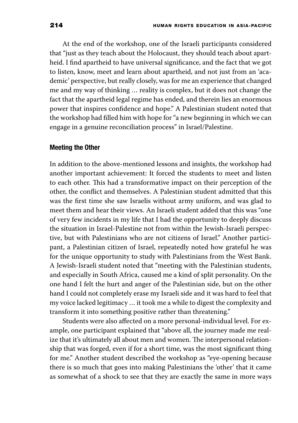At the end of the workshop, one of the Israeli participants considered that "just as they teach about the Holocaust, they should teach about apartheid. I find apartheid to have universal significance, and the fact that we got to listen, know, meet and learn about apartheid, and not just from an 'academic' perspective, but really closely, was for me an experience that changed me and my way of thinking … reality is complex, but it does not change the fact that the apartheid legal regime has ended, and therein lies an enormous power that inspires confidence and hope." A Palestinian student noted that the workshop had filled him with hope for "a new beginning in which we can engage in a genuine reconciliation process" in Israel/Palestine.

## Meeting the Other

In addition to the above-mentioned lessons and insights, the workshop had another important achievement: It forced the students to meet and listen to each other. This had a transformative impact on their perception of the other, the conflict and themselves. A Palestinian student admitted that this was the first time she saw Israelis without army uniform, and was glad to meet them and hear their views. An Israeli student added that this was "one of very few incidents in my life that I had the opportunity to deeply discuss the situation in Israel-Palestine not from within the Jewish-Israeli perspective, but with Palestinians who are not citizens of Israel." Another participant, a Palestinian citizen of Israel, repeatedly noted how grateful he was for the unique opportunity to study with Palestinians from the West Bank. A Jewish-Israeli student noted that "meeting with the Palestinian students, and especially in South Africa, caused me a kind of split personality. On the one hand I felt the hurt and anger of the Palestinian side, but on the other hand I could not completely erase my Israeli side and it was hard to feel that my voice lacked legitimacy … it took me a while to digest the complexity and transform it into something positive rather than threatening."

Students were also affected on a more personal-individual level. For example, one participant explained that "above all, the journey made me realize that it's ultimately all about men and women. The interpersonal relationship that was forged, even if for a short time, was the most significant thing for me." Another student described the workshop as "eye-opening because there is so much that goes into making Palestinians the 'other' that it came as somewhat of a shock to see that they are exactly the same in more ways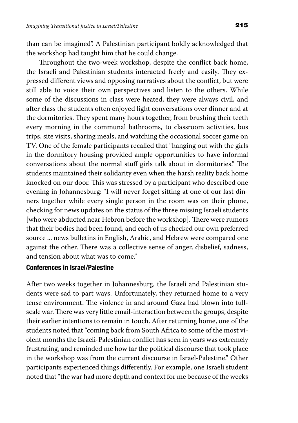than can be imagined". A Palestinian participant boldly acknowledged that the workshop had taught him that he could change.

Throughout the two-week workshop, despite the conflict back home, the Israeli and Palestinian students interacted freely and easily. They expressed different views and opposing narratives about the conflict, but were still able to voice their own perspectives and listen to the others. While some of the discussions in class were heated, they were always civil, and after class the students often enjoyed light conversations over dinner and at the dormitories. They spent many hours together, from brushing their teeth every morning in the communal bathrooms, to classroom activities, bus trips, site visits, sharing meals, and watching the occasional soccer game on TV. One of the female participants recalled that "hanging out with the girls in the dormitory housing provided ample opportunities to have informal conversations about the normal stuff girls talk about in dormitories." The students maintained their solidarity even when the harsh reality back home knocked on our door. This was stressed by a participant who described one evening in Johannesburg: "I will never forget sitting at one of our last dinners together while every single person in the room was on their phone, checking for news updates on the status of the three missing Israeli students [who were abducted near Hebron before the workshop]. There were rumors that their bodies had been found, and each of us checked our own preferred source ... news bulletins in English, Arabic, and Hebrew were compared one against the other. There was a collective sense of anger, disbelief, sadness, and tension about what was to come."

## Conferences in Israel/Palestine

After two weeks together in Johannesburg, the Israeli and Palestinian students were sad to part ways. Unfortunately, they returned home to a very tense environment. The violence in and around Gaza had blown into fullscale war. There was very little email-interaction between the groups, despite their earlier intentions to remain in touch. After returning home, one of the students noted that "coming back from South Africa to some of the most violent months the Israeli-Palestinian conflict has seen in years was extremely frustrating, and reminded me how far the political discourse that took place in the workshop was from the current discourse in Israel-Palestine." Other participants experienced things differently. For example, one Israeli student noted that "the war had more depth and context for me because of the weeks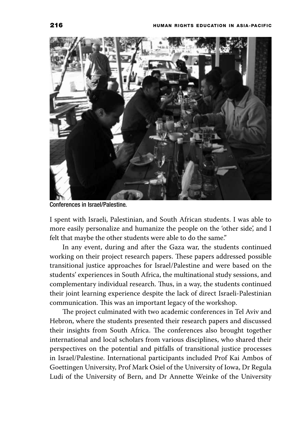

Conferences in Israel/Palestine.

I spent with Israeli, Palestinian, and South African students. I was able to more easily personalize and humanize the people on the 'other side', and I felt that maybe the other students were able to do the same."

In any event, during and after the Gaza war, the students continued working on their project research papers. These papers addressed possible transitional justice approaches for Israel/Palestine and were based on the students' experiences in South Africa, the multinational study sessions, and complementary individual research. Thus, in a way, the students continued their joint learning experience despite the lack of direct Israeli-Palestinian communication. This was an important legacy of the workshop.

The project culminated with two academic conferences in Tel Aviv and Hebron, where the students presented their research papers and discussed their insights from South Africa. The conferences also brought together international and local scholars from various disciplines, who shared their perspectives on the potential and pitfalls of transitional justice processes in Israel/Palestine. International participants included Prof Kai Ambos of Goettingen University, Prof Mark Osiel of the University of Iowa, Dr Regula Ludi of the University of Bern, and Dr Annette Weinke of the University